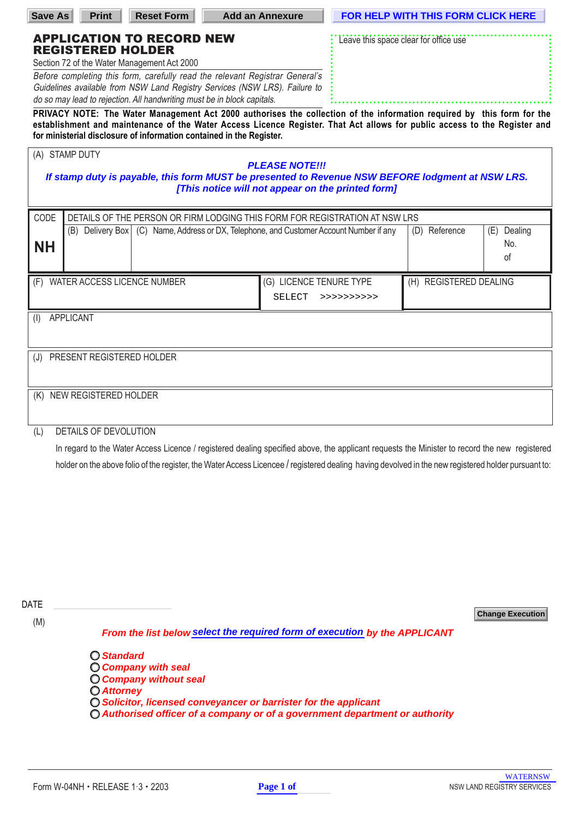| <b>Save As</b>                                                                                                                                        | <b>Print</b>                                                                                                                                                                          | <b>Reset Form</b>                                                                                                                                                                                                                                                                                                                                 | <b>Add an Annexure</b>                                                                                                                                                                                                                                                                       |                | <b>FOR HELP WITH THIS FORM CLICK HERE</b> |                          |  |  |  |
|-------------------------------------------------------------------------------------------------------------------------------------------------------|---------------------------------------------------------------------------------------------------------------------------------------------------------------------------------------|---------------------------------------------------------------------------------------------------------------------------------------------------------------------------------------------------------------------------------------------------------------------------------------------------------------------------------------------------|----------------------------------------------------------------------------------------------------------------------------------------------------------------------------------------------------------------------------------------------------------------------------------------------|----------------|-------------------------------------------|--------------------------|--|--|--|
|                                                                                                                                                       | <b>REGISTERED HOLDER</b><br>Section 72 of the Water Management Act 2000                                                                                                               | <b>APPLICATION TO RECORD NEW</b><br>Before completing this form, carefully read the relevant Registrar General's<br>Guidelines available from NSW Land Registry Services (NSW LRS). Failure to<br>do so may lead to rejection. All handwriting must be in block capitals.<br>for ministerial disclosure of information contained in the Register. | Leave this space clear for office use<br>PRIVACY NOTE: The Water Management Act 2000 authorises the collection of the information required by this form for the<br>establishment and maintenance of the Water Access Licence Register. That Act allows for public access to the Register and |                |                                           |                          |  |  |  |
|                                                                                                                                                       | (A) STAMP DUTY<br><b>PLEASE NOTE!!!</b>                                                                                                                                               |                                                                                                                                                                                                                                                                                                                                                   |                                                                                                                                                                                                                                                                                              |                |                                           |                          |  |  |  |
| If stamp duty is payable, this form MUST be presented to Revenue NSW BEFORE lodgment at NSW LRS.<br>[This notice will not appear on the printed form] |                                                                                                                                                                                       |                                                                                                                                                                                                                                                                                                                                                   |                                                                                                                                                                                                                                                                                              |                |                                           |                          |  |  |  |
| CODE                                                                                                                                                  | DETAILS OF THE PERSON OR FIRM LODGING THIS FORM FOR REGISTRATION AT NSW LRS<br>Reference<br>(B) Delivery Box   (C) Name, Address or DX, Telephone, and Customer Account Number if any |                                                                                                                                                                                                                                                                                                                                                   |                                                                                                                                                                                                                                                                                              |                |                                           |                          |  |  |  |
| NΗ                                                                                                                                                    |                                                                                                                                                                                       |                                                                                                                                                                                                                                                                                                                                                   |                                                                                                                                                                                                                                                                                              |                | (D)                                       | (E) Dealing<br>No.<br>of |  |  |  |
|                                                                                                                                                       | (F) WATER ACCESS LICENCE NUMBER                                                                                                                                                       |                                                                                                                                                                                                                                                                                                                                                   | (G) LICENCE TENURE TYPE                                                                                                                                                                                                                                                                      |                | (H) REGISTERED DEALING                    |                          |  |  |  |
|                                                                                                                                                       |                                                                                                                                                                                       |                                                                                                                                                                                                                                                                                                                                                   | SELECT                                                                                                                                                                                                                                                                                       | $>$ >>>>>>>>>> |                                           |                          |  |  |  |
| <b>APPLICANT</b><br>(1)                                                                                                                               |                                                                                                                                                                                       |                                                                                                                                                                                                                                                                                                                                                   |                                                                                                                                                                                                                                                                                              |                |                                           |                          |  |  |  |
| PRESENT REGISTERED HOLDER<br>(J)                                                                                                                      |                                                                                                                                                                                       |                                                                                                                                                                                                                                                                                                                                                   |                                                                                                                                                                                                                                                                                              |                |                                           |                          |  |  |  |
| (K)                                                                                                                                                   | NEW REGISTERED HOLDER                                                                                                                                                                 |                                                                                                                                                                                                                                                                                                                                                   |                                                                                                                                                                                                                                                                                              |                |                                           |                          |  |  |  |
| <b>DETAILS OF DEVOLUTION</b><br>(L)                                                                                                                   |                                                                                                                                                                                       |                                                                                                                                                                                                                                                                                                                                                   |                                                                                                                                                                                                                                                                                              |                |                                           |                          |  |  |  |

In regard to the Water Access Licence / registered dealing specified above, the applicant requests the Minister to record the new registered holder on the above folio of the register, the Water Access Licencee / registered dealing having devolved in the new registered holder pursuant to:

DATE

(M)

**Change Execution**

**From the list below select the required form of execution by the APPLICANT** 

**Standard Company with seal Company without seal Attorney Solicitor, licensed conveyancer or barrister for the applicant**   $\bigcirc$  Authorised officer of a company or of a government department or authority